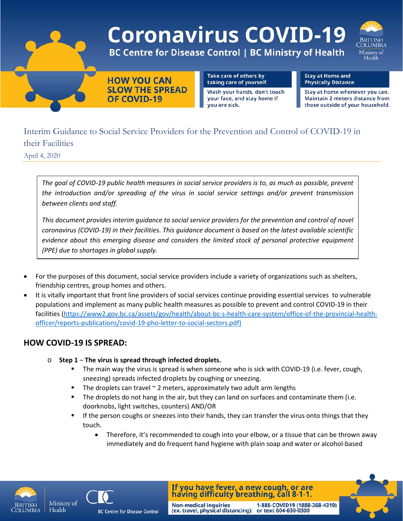

# Interim Guidance to Social Service Providers for the Prevention and Control of COVID-19 in their Facilities

April 4, 2020

*The goal of COVID-19 public health measures in social service providers is to, as much as possible, prevent the introduction and/or spreading of the virus in social service settings and/or prevent transmission between clients and staff.*

*This document provides interim guidance to social service providers for the prevention and control of novel coronavirus (COVID-19) in their facilities. This guidance document is based on the latest available scientific evidence about this emerging disease and considers the limited stock of personal protective equipment (PPE) due to shortages in global supply.*

- For the purposes of this document, social service providers include a variety of organizations such as shelters, friendship centres, group homes and others.
- It is vitally important that front line providers of social services continue providing essential services to vulnerable populations and implement as many public health measures as possible to prevent and control COVID-19 in their facilities [\(https://www2.gov.bc.ca/assets/gov/health/about-bc-s-health-care-system/office-of-the-provincial-health](https://www2.gov.bc.ca/assets/gov/health/about-bc-s-health-care-system/office-of-the-provincial-health-officer/reports-publications/covid-19-pho-letter-to-social-sectors.pdf)[officer/reports-publications/covid-19-pho-letter-to-social-sectors.pdf\)](https://www2.gov.bc.ca/assets/gov/health/about-bc-s-health-care-system/office-of-the-provincial-health-officer/reports-publications/covid-19-pho-letter-to-social-sectors.pdf)

### **HOW COVID-19 IS SPREAD:**

- o **Step 1 The virus is spread through infected droplets.**
	- The main way the virus is spread is when someone who is sick with COVID-19 (i.e. fever, cough, sneezing) spreads infected droplets by coughing or sneezing.
	- The droplets can travel  $\sim$  2 meters, approximately two adult arm lengths
	- The droplets do not hang in the air, but they can land on surfaces and contaminate them (i.e. doorknobs, light switches, counters) AND/OR

**Non-medical inquiries** 

- **If the person coughs or sneezes into their hands, they can transfer the virus onto things that they** touch.
	- Therefore, it's recommended to cough into your elbow, or a tissue that can be thrown away immediately and do frequent hand hygiene with plain soap and water or alcohol-based





If you have fever, a new cough, or are having difficulty breathing, call 8-1-1.

(ex. travel, physical distancing): or text 604-630-0300

1-888-COVID19 (1888-268-4319)

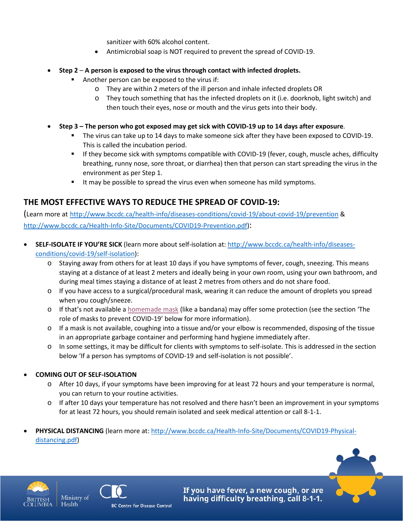sanitizer with 60% alcohol content.

- Antimicrobial soap is NOT required to prevent the spread of COVID-19.
- **Step 2 A person is exposed to the virus through contact with infected droplets.**
	- **Another person can be exposed to the virus if:** 
		- o They are within 2 meters of the ill person and inhale infected droplets OR
		- $\circ$  They touch something that has the infected droplets on it (i.e. doorknob, light switch) and then touch their eyes, nose or mouth and the virus gets into their body.
- **Step 3 – The person who got exposed may get sick with COVID-19 up to 14 days after exposure**.
	- The virus can take up to 14 days to make someone sick after they have been exposed to COVID-19. This is called the incubation period.
	- If they become sick with symptoms compatible with COVID-19 (fever, cough, muscle aches, difficulty breathing, runny nose, sore throat, or diarrhea) then that person can start spreading the virus in the environment as per Step 1.
	- It may be possible to spread the virus even when someone has mild symptoms.

# **THE MOST EFFECTIVE WAYS TO REDUCE THE SPREAD OF COVID-19:**

(Learn more at <http://www.bccdc.ca/health-info/diseases-conditions/covid-19/about-covid-19/prevention> & [http://www.bccdc.ca/Health-Info-Site/Documents/COVID19-Prevention.pdf\)](http://www.bccdc.ca/Health-Info-Site/Documents/COVID19-Prevention.pdf):

- **SELF-ISOLATE IF YOU'RE SICK** (learn more about self-isolation at: [http://www.bccdc.ca/health-info/diseases](http://www.bccdc.ca/health-info/diseases-conditions/covid-19/self-isolation)[conditions/covid-19/self-isolation\)](http://www.bccdc.ca/health-info/diseases-conditions/covid-19/self-isolation):
	- o Staying away from others for at least 10 days if you have symptoms of fever, cough, sneezing. This means staying at a distance of at least 2 meters and ideally being in your own room, using your own bathroom, and during meal times staying a distance of at least 2 metres from others and do not share food.
	- o If you have access to a surgical/procedural mask, wearing it can reduce the amount of droplets you spread when you cough/sneeze.
	- o If that's not available a [homemade mask](http://www.bccdc.ca/health-info/diseases-conditions/covid-19/common-questions) (like a bandana) may offer some protection (see the section 'The role of masks to prevent COVID-19' below for more information).
	- o If a mask is not available, coughing into a tissue and/or your elbow is recommended, disposing of the tissue in an appropriate garbage container and performing hand hygiene immediately after.
	- o In some settings, it may be difficult for clients with symptoms to self-isolate. This is addressed in the section below 'If a person has symptoms of COVID-19 and self-isolation is not possible'.
- **COMING OUT OF SELF-ISOLATION**
	- o After 10 days, if your symptoms have been improving for at least 72 hours and your temperature is normal, you can return to your routine activities.
	- o If after 10 days your temperature has not resolved and there hasn't been an improvement in your symptoms for at least 72 hours, you should remain isolated and seek medical attention or call 8-1-1.
- **PHYSICAL DISTANCING** (learn more at[: http://www.bccdc.ca/Health-Info-Site/Documents/COVID19-Physical](http://www.bccdc.ca/Health-Info-Site/Documents/COVID19-Physical-distancing.pdf)[distancing.pdf\)](http://www.bccdc.ca/Health-Info-Site/Documents/COVID19-Physical-distancing.pdf)





Health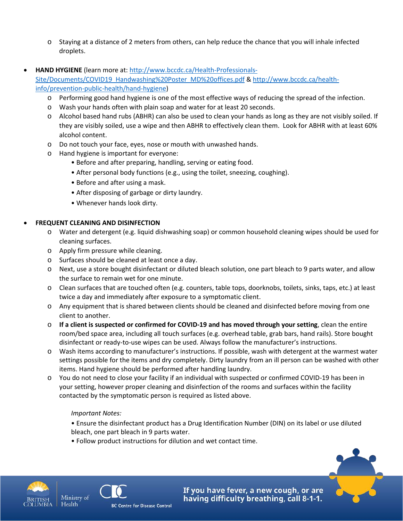- o Staying at a distance of 2 meters from others, can help reduce the chance that you will inhale infected droplets.
- **HAND HYGIENE** (learn more at: [http://www.bccdc.ca/Health-Professionals-](http://www.bccdc.ca/Health-Professionals-Site/Documents/COVID19_Handwashing%20Poster_MD%20offices.pdf)

[Site/Documents/COVID19\\_Handwashing%20Poster\\_MD%20offices.pdf](http://www.bccdc.ca/Health-Professionals-Site/Documents/COVID19_Handwashing%20Poster_MD%20offices.pdf) & [http://www.bccdc.ca/health](http://www.bccdc.ca/health-info/prevention-public-health/hand-hygiene)[info/prevention-public-health/hand-hygiene\)](http://www.bccdc.ca/health-info/prevention-public-health/hand-hygiene)

- o Performing good hand hygiene is one of the most effective ways of reducing the spread of the infection.
- o Wash your hands often with plain soap and water for at least 20 seconds.
- o Alcohol based hand rubs (ABHR) can also be used to clean your hands as long as they are not visibly soiled. If they are visibly soiled, use a wipe and then ABHR to effectively clean them. Look for ABHR with at least 60% alcohol content.
- o Do not touch your face, eyes, nose or mouth with unwashed hands.
- o Hand hygiene is important for everyone:
	- Before and after preparing, handling, serving or eating food.
	- After personal body functions (e.g., using the toilet, sneezing, coughing).
	- Before and after using a mask.
	- After disposing of garbage or dirty laundry.
	- Whenever hands look dirty.

#### • **FREQUENT CLEANING AND DISINFECTION**

- o Water and detergent (e.g. liquid dishwashing soap) or common household cleaning wipes should be used for cleaning surfaces.
- o Apply firm pressure while cleaning.
- o Surfaces should be cleaned at least once a day.
- o Next, use a store bought disinfectant or diluted bleach solution, one part bleach to 9 parts water, and allow the surface to remain wet for one minute.
- o Clean surfaces that are touched often (e.g. counters, table tops, doorknobs, toilets, sinks, taps, etc.) at least twice a day and immediately after exposure to a symptomatic client.
- o Any equipment that is shared between clients should be cleaned and disinfected before moving from one client to another.
- o **If a client is suspected or confirmed for COVID-19 and has moved through your setting**, clean the entire room/bed space area, including all touch surfaces (e.g. overhead table, grab bars, hand rails). Store bought disinfectant or ready-to-use wipes can be used. Always follow the manufacturer's instructions.
- o Wash items according to manufacturer's instructions. If possible, wash with detergent at the warmest water settings possible for the items and dry completely. Dirty laundry from an ill person can be washed with other items. Hand hygiene should be performed after handling laundry.
- o You do not need to close your facility if an individual with suspected or confirmed COVID-19 has been in your setting, however proper cleaning and disinfection of the rooms and surfaces within the facility contacted by the symptomatic person is required as listed above.

#### *Important Notes:*

- Ensure the disinfectant product has a Drug Identification Number (DIN) on its label or use diluted bleach, one part bleach in 9 parts water.
- Follow product instructions for dilution and wet contact time.



Health



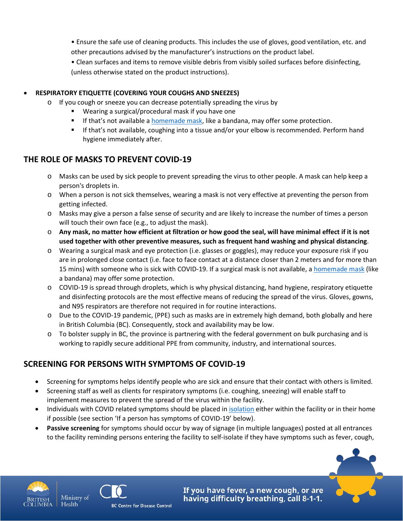• Ensure the safe use of cleaning products. This includes the use of gloves, good ventilation, etc. and other precautions advised by the manufacturer's instructions on the product label.

• Clean surfaces and items to remove visible debris from visibly soiled surfaces before disinfecting, (unless otherwise stated on the product instructions).

#### • **RESPIRATORY ETIQUETTE (COVERING YOUR COUGHS AND SNEEZES)**

- o If you cough or sneeze you can decrease potentially spreading the virus by
	- Wearing a surgical/procedural mask if you have one
	- **If that's not available a [homemade mask,](http://www.bccdc.ca/health-info/diseases-conditions/covid-19/common-questions) like a bandana, may offer some protection.**
	- If that's not available, coughing into a tissue and/or your elbow is recommended. Perform hand hygiene immediately after.

#### **THE ROLE OF MASKS TO PREVENT COVID-19**

- o Masks can be used by sick people to prevent spreading the virus to other people. A mask can help keep a person's droplets in.
- o When a person is not sick themselves, wearing a mask is not very effective at preventing the person from getting infected.
- o Masks may give a person a false sense of security and are likely to increase the number of times a person will touch their own face (e.g., to adjust the mask).
- o **Any mask, no matter how efficient at filtration or how good the seal, will have minimal effect if it is not used together with other preventive measures, such as frequent hand washing and physical distancing**.
- o Wearing a surgical mask and eye protection (i.e. glasses or goggles), may reduce your exposure risk if you are in prolonged close contact (i.e. face to face contact at a distance closer than 2 meters and for more than 15 mins) with someone who is sick with COVID-19. If a surgical mask is not available, a [homemade mask](http://www.bccdc.ca/health-info/diseases-conditions/covid-19/common-questions) (like a bandana) may offer some protection.
- o COVID-19 is spread through droplets, which is why physical distancing, hand hygiene, respiratory etiquette and disinfecting protocols are the most effective means of reducing the spread of the virus. Gloves, gowns, and N95 respirators are therefore not required in for routine interactions.
- o Due to the COVID-19 pandemic, (PPE) such as masks are in extremely high demand, both globally and here in British Columbia (BC). Consequently, stock and availability may be low.
- $\circ$  To bolster supply in BC, the province is partnering with the federal government on bulk purchasing and is working to rapidly secure additional PPE from community, industry, and international sources.

### **SCREENING FOR PERSONS WITH SYMPTOMS OF COVID-19**

- Screening for symptoms helps identify people who are sick and ensure that their contact with others is limited.
- Screening staff as well as clients for respiratory symptoms (i.e. coughing, sneezing) will enable staff to implement measures to prevent the spread of the virus within the facility.
- Individuals with COVID related symptoms should be placed in [isolation](https://www.canada.ca/en/public-health/services/diseases/2019-novel-coronavirus-infection/prevention-risks.html#self.) either within the facility or in their home if possible (see section 'If a person has symptoms of COVID-19' below).
- **Passive screening** for symptoms should occur by way of signage (in multiple languages) posted at all entrances to the facility reminding persons entering the facility to self-isolate if they have symptoms such as fever, cough,





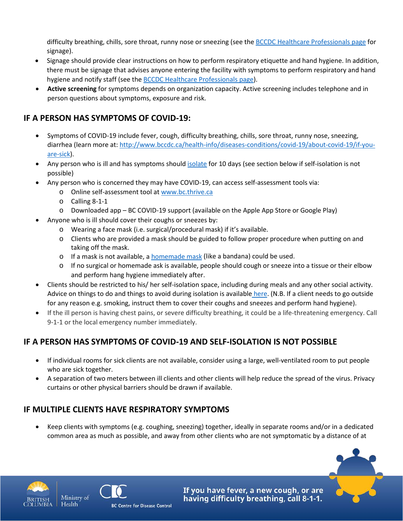difficulty breathing, chills, sore throat, runny nose or sneezing (see the BCCDC [Healthcare Professionals page](http://www.bccdc.ca/health-professionals/clinical-resources/covid-19-care/patient-handouts) for signage).

- Signage should provide clear instructions on how to perform respiratory etiquette and hand hygiene. In addition, there must be signage that advises anyone entering the facility with symptoms to perform respiratory and hand hygiene and notify staff (see the [BCCDC Healthcare Professionals page\)](http://www.bccdc.ca/health-professionals/clinical-resources/covid-19-care/patient-handouts).
- **Active screening** for symptoms depends on organization capacity. Active screening includes telephone and in person questions about symptoms, exposure and risk.

# **IF A PERSON HAS SYMPTOMS OF COVID-19:**

- Symptoms of COVID-19 include fever, cough, difficulty breathing, chills, sore throat, runny nose, sneezing, diarrhea (learn more at[: http://www.bccdc.ca/health-info/diseases-conditions/covid-19/about-covid-19/if-you](http://www.bccdc.ca/health-info/diseases-conditions/covid-19/about-covid-19/if-you-are-sick)[are-sick\)](http://www.bccdc.ca/health-info/diseases-conditions/covid-19/about-covid-19/if-you-are-sick).
- Any person who is ill and has symptoms should *isolate* for 10 days (see section below if self-isolation is not possible)
- Any person who is concerned they may have COVID-19, can access self-assessment tools via:
	- o Online self-assessment tool at [www.bc.thrive.ca](http://www.bc.thrive.ca/)
	- o Calling 8-1-1
	- o Downloaded app BC COVID-19 support (available on the Apple App Store or Google Play)
- Anyone who is ill should cover their coughs or sneezes by:
	- o Wearing a face mask (i.e. surgical/procedural mask) if it's available.
	- o Clients who are provided a mask should be guided to follow proper procedure when putting on and taking off the mask.
	- o If a mask is not available, a [homemade mask](http://www.bccdc.ca/health-info/diseases-conditions/covid-19/common-questions) (like a bandana) could be used.
	- o If no surgical or homemade ask is available, people should cough or sneeze into a tissue or their elbow and perform hang hygiene immediately after.
- Clients should be restricted to his/ her self-isolation space, including during meals and any other social activity. Advice on things to do and things to avoid during isolation is available [here.](http://www.bccdc.ca/Health-Info-Site/Documents/Self-isolation_dos_donts.pdf) (N.B. If a client needs to go outside for any reason e.g. smoking, instruct them to cover their coughs and sneezes and perform hand hygiene).
- If the ill person is having chest pains, or severe difficulty breathing, it could be a life-threatening emergency. Call 9-1-1 or the local emergency number immediately.

# **IF A PERSON HAS SYMPTOMS OF COVID-19 AND SELF-ISOLATION IS NOT POSSIBLE**

- If individual rooms for sick clients are not available, consider using a large, well-ventilated room to put people who are sick together.
- A separation of two meters between ill clients and other clients will help reduce the spread of the virus. Privacy curtains or other physical barriers should be drawn if available.

# **IF MULTIPLE CLIENTS HAVE RESPIRATORY SYMPTOMS**

• Keep clients with symptoms (e.g. coughing, sneezing) together, ideally in separate rooms and/or in a dedicated common area as much as possible, and away from other clients who are not symptomatic by a distance of at



Health